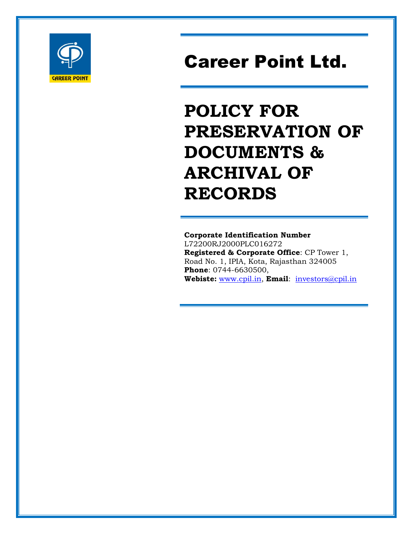

# Career Point Ltd.

# POLICY FOR PRESERVATION OF DOCUMENTS & ARCHIVAL OF RECORDS

Corporate Identification Number L72200RJ2000PLC016272 Registered & Corporate Office: CP Tower 1, Road No. 1, IPIA, Kota, Rajasthan 324005 Phone: 0744-6630500, Webiste: www.cpil.in, Email: investors@cpil.in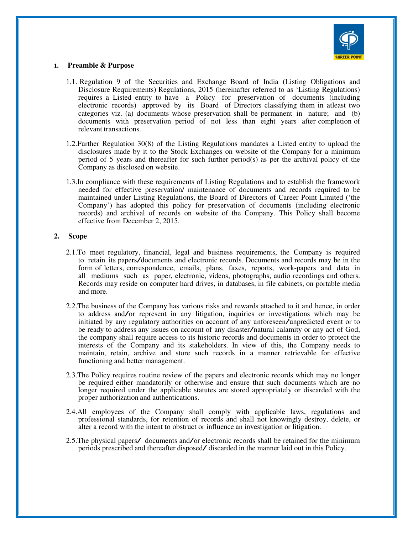

## <sup>1</sup>. **Preamble & Purpose**

- 1.1. Regulation 9 of the Securities and Exchange Board of India (Listing Obligations and Disclosure Requirements) Regulations, 2015 (hereinafter referred to as 'Listing Regulations) requires a Listed entity to have a Policy for preservation of documents (including electronic records) approved by its Board of Directors classifying them in atleast two categories viz. (a) documents whose preservation shall be permanent in nature; and (b) documents with preservation period of not less than eight years after completion of relevant transactions.
- 1.2.Further Regulation 30(8) of the Listing Regulations mandates a Listed entity to upload the disclosures made by it to the Stock Exchanges on website of the Company for a minimum period of 5 years and thereafter for such further period(s) as per the archival policy of the Company as disclosed on website.
- 1.3.In compliance with these requirements of Listing Regulations and to establish the framework needed for effective preservation/ maintenance of documents and records required to be maintained under Listing Regulations, the Board of Directors of Career Point Limited ('the Company') has adopted this policy for preservation of documents (including electronic records) and archival of records on website of the Company. This Policy shall become effective from December 2, 2015.

#### **2. Scope**

- 2.1.To meet regulatory, financial, legal and business requirements, the Company is required to retain its papers/documents and electronic records. Documents and records may be in the form of letters, correspondence, emails, plans, faxes, reports, work-papers and data in all mediums such as paper, electronic, videos, photographs, audio recordings and others. Records may reside on computer hard drives, in databases, in file cabinets, on portable media and more.
- 2.2.The business of the Company has various risks and rewards attached to it and hence, in order to address and/or represent in any litigation, inquiries or investigations which may be initiated by any regulatory authorities on account of any unforeseen/unpredicted event or to be ready to address any issues on account of any disaster/natural calamity or any act of God, the company shall require access to its historic records and documents in order to protect the interests of the Company and its stakeholders. In view of this, the Company needs to maintain, retain, archive and store such records in a manner retrievable for effective functioning and better management.
- 2.3.The Policy requires routine review of the papers and electronic records which may no longer be required either mandatorily or otherwise and ensure that such documents which are no longer required under the applicable statutes are stored appropriately or discarded with the proper authorization and authentications.
- 2.4.All employees of the Company shall comply with applicable laws, regulations and professional standards, for retention of records and shall not knowingly destroy, delete, or alter a record with the intent to obstruct or influence an investigation or litigation.
- 2.5.The physical papers/ documents and/or electronic records shall be retained for the minimum periods prescribed and thereafter disposed/ discarded in the manner laid out in this Policy.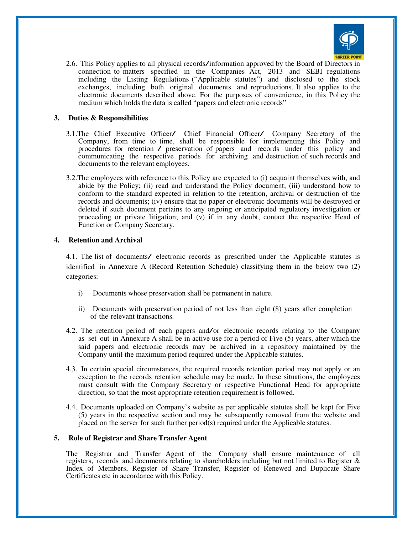

2.6. This Policy applies to all physical records/information approved by the Board of Directors in connection to matters specified in the Companies Act, 2013 and SEBI regulations including the Listing Regulations ("Applicable statutes") and disclosed to the stock exchanges, including both original documents and reproductions. It also applies to the electronic documents described above. For the purposes of convenience, in this Policy the medium which holds the data is called "papers and electronic records"

## **3. Duties & Responsibilities**

- 3.1.The Chief Executive Officer/ Chief Financial Officer/ Company Secretary of the Company, from time to time, shall be responsible for implementing this Policy and procedures for retention / preservation of papers and records under this policy and communicating the respective periods for archiving and destruction of such records and documents to the relevant employees.
- 3.2.The employees with reference to this Policy are expected to (i) acquaint themselves with, and abide by the Policy; (ii) read and understand the Policy document; (iii) understand how to conform to the standard expected in relation to the retention, archival or destruction of the records and documents; (iv) ensure that no paper or electronic documents will be destroyed or deleted if such document pertains to any ongoing or anticipated regulatory investigation or proceeding or private litigation; and (v) if in any doubt, contact the respective Head of Function or Company Secretary.

#### **4. Retention and Archival**

4.1. The list of documents/ electronic records as prescribed under the Applicable statutes is identified in Annexure A (Record Retention Schedule) classifying them in the below two (2) categories:-

- i) Documents whose preservation shall be permanent in nature.
- ii) Documents with preservation period of not less than eight (8) years after completion of the relevant transactions.
- 4.2. The retention period of each papers and/or electronic records relating to the Company as set out in Annexure A shall be in active use for a period of Five (5) years, after which the said papers and electronic records may be archived in a repository maintained by the Company until the maximum period required under the Applicable statutes.
- 4.3. In certain special circumstances, the required records retention period may not apply or an exception to the records retention schedule may be made. In these situations, the employees must consult with the Company Secretary or respective Functional Head for appropriate direction, so that the most appropriate retention requirement is followed.
- 4.4. Documents uploaded on Company's website as per applicable statutes shall be kept for Five (5) years in the respective section and may be subsequently removed from the website and placed on the server for such further period(s) required under the Applicable statutes.

#### **5. Role of Registrar and Share Transfer Agent**

The Registrar and Transfer Agent of the Company shall ensure maintenance of all registers, records and documents relating to shareholders including but not limited to Register & Index of Members, Register of Share Transfer, Register of Renewed and Duplicate Share Certificates etc in accordance with this Policy.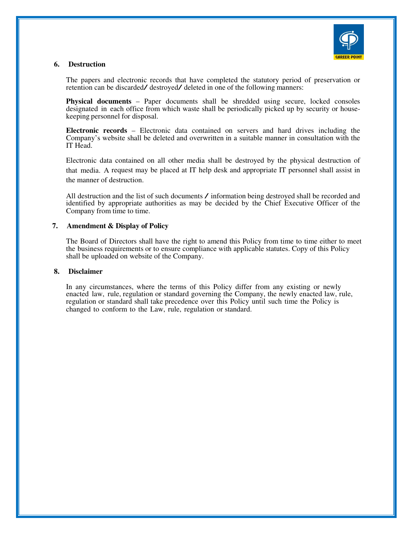

## **6. Destruction**

The papers and electronic records that have completed the statutory period of preservation or retention can be discarded/ destroyed/ deleted in one of the following manners:

**Physical documents** – Paper documents shall be shredded using secure, locked consoles designated in each office from which waste shall be periodically picked up by security or housekeeping personnel for disposal.

**Electronic records** – Electronic data contained on servers and hard drives including the Company's website shall be deleted and overwritten in a suitable manner in consultation with the IT Head.

Electronic data contained on all other media shall be destroyed by the physical destruction of that media. A request may be placed at IT help desk and appropriate IT personnel shall assist in the manner of destruction.

All destruction and the list of such documents  $\lambda$  information being destroyed shall be recorded and identified by appropriate authorities as may be decided by the Chief Executive Officer of the Company from time to time.

#### **7. Amendment & Display of Policy**

The Board of Directors shall have the right to amend this Policy from time to time either to meet the business requirements or to ensure compliance with applicable statutes. Copy of this Policy shall be uploaded on website of the Company.

#### **8. Disclaimer**

In any circumstances, where the terms of this Policy differ from any existing or newly enacted law, rule, regulation or standard governing the Company, the newly enacted law, rule, regulation or standard shall take precedence over this Policy until such time the Policy is changed to conform to the Law, rule, regulation or standard.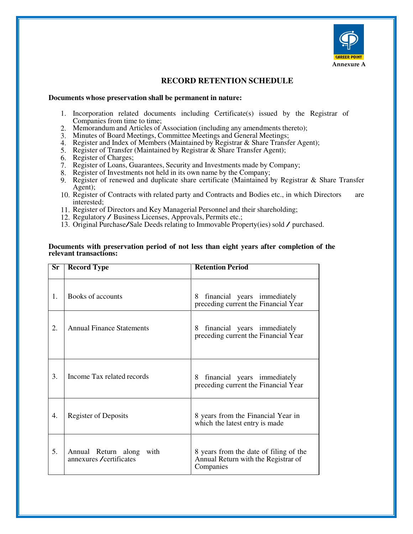

# **RECORD RETENTION SCHEDULE**

#### **Documents whose preservation shall be permanent in nature:**

- 1. Incorporation related documents including Certificate(s) issued by the Registrar of Companies from time to time;
- 2. Memorandum and Articles of Association (including any amendments thereto);
- 3. Minutes of Board Meetings, Committee Meetings and General Meetings;
- 4. Register and Index of Members (Maintained by Registrar & Share Transfer Agent);
- 5. Register of Transfer (Maintained by Registrar & Share Transfer Agent);
- 6. Register of Charges;
- 7. Register of Loans, Guarantees, Security and Investments made by Company;
- 8. Register of Investments not held in its own name by the Company;
- 9. Register of renewed and duplicate share certificate (Maintained by Registrar & Share Transfer Agent);
- 10. Register of Contracts with related party and Contracts and Bodies etc., in which Directors are interested;
- 11. Register of Directors and Key Managerial Personnel and their shareholding;
- 12. Regulatory / Business Licenses, Approvals, Permits etc.;
- 13. Original Purchase/Sale Deeds relating to Immovable Property(ies) sold / purchased.

#### **Documents with preservation period of not less than eight years after completion of the relevant transactions:**

| Sr | <b>Record Type</b>                                   | <b>Retention Period</b>                                                                    |
|----|------------------------------------------------------|--------------------------------------------------------------------------------------------|
| 1. | Books of accounts                                    | financial years immediately<br>8<br>preceding current the Financial Year                   |
| 2. | <b>Annual Finance Statements</b>                     | 8 financial years immediately<br>preceding current the Financial Year                      |
| 3. | Income Tax related records                           | financial years immediately<br>8<br>preceding current the Financial Year                   |
| 4. | <b>Register of Deposits</b>                          | 8 years from the Financial Year in<br>which the latest entry is made                       |
| 5. | Annual Return along with<br>annexures / certificates | 8 years from the date of filing of the<br>Annual Return with the Registrar of<br>Companies |